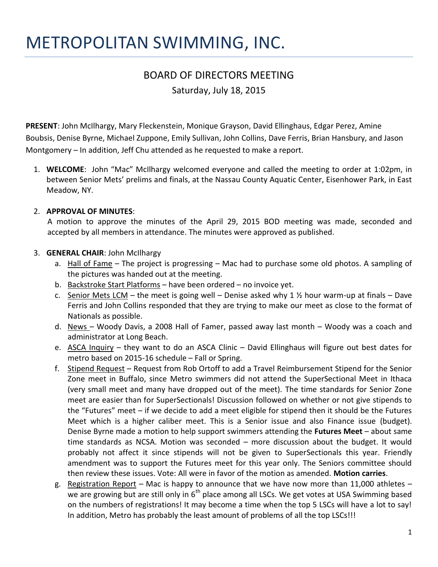# METROPOLITAN SWIMMING, INC.

# BOARD OF DIRECTORS MEETING Saturday, July 18, 2015

**PRESENT**: John McIlhargy, Mary Fleckenstein, Monique Grayson, David Ellinghaus, Edgar Perez, Amine Boubsis, Denise Byrne, Michael Zuppone, Emily Sullivan, John Collins, Dave Ferris, Brian Hansbury, and Jason Montgomery – In addition, Jeff Chu attended as he requested to make a report.

1. **WELCOME**: John "Mac" McIlhargy welcomed everyone and called the meeting to order at 1:02pm, in between Senior Mets' prelims and finals, at the Nassau County Aquatic Center, Eisenhower Park, in East Meadow, NY.

### 2. **APPROVAL OF MINUTES**:

 A motion to approve the minutes of the April 29, 2015 BOD meeting was made, seconded and accepted by all members in attendance. The minutes were approved as published.

#### 3. **GENERAL CHAIR**: John McIlhargy

- a. Hall of Fame The project is progressing Mac had to purchase some old photos. A sampling of the pictures was handed out at the meeting.
- b. Backstroke Start Platforms have been ordered no invoice yet.
- c. Senior Mets LCM the meet is going well Denise asked why 1  $\frac{1}{2}$  hour warm-up at finals Dave Ferris and John Collins responded that they are trying to make our meet as close to the format of Nationals as possible.
- d. News Woody Davis, a 2008 Hall of Famer, passed away last month Woody was a coach and administrator at Long Beach.
- e. ASCA Inquiry they want to do an ASCA Clinic David Ellinghaus will figure out best dates for metro based on 2015-16 schedule – Fall or Spring.
- f. Stipend Request Request from Rob Ortoff to add a Travel Reimbursement Stipend for the Senior Zone meet in Buffalo, since Metro swimmers did not attend the SuperSectional Meet in Ithaca (very small meet and many have dropped out of the meet). The time standards for Senior Zone meet are easier than for SuperSectionals! Discussion followed on whether or not give stipends to the "Futures" meet – if we decide to add a meet eligible for stipend then it should be the Futures Meet which is a higher caliber meet. This is a Senior issue and also Finance issue (budget). Denise Byrne made a motion to help support swimmers attending the **Futures Meet** – about same time standards as NCSA. Motion was seconded – more discussion about the budget. It would probably not affect it since stipends will not be given to SuperSectionals this year. Friendly amendment was to support the Futures meet for this year only. The Seniors committee should then review these issues. Vote: All were in favor of the motion as amended. **Motion carries**.
- g. Registration Report Mac is happy to announce that we have now more than 11,000 athletes we are growing but are still only in  $6<sup>th</sup>$  place among all LSCs. We get votes at USA Swimming based on the numbers of registrations! It may become a time when the top 5 LSCs will have a lot to say! In addition, Metro has probably the least amount of problems of all the top LSCs!!!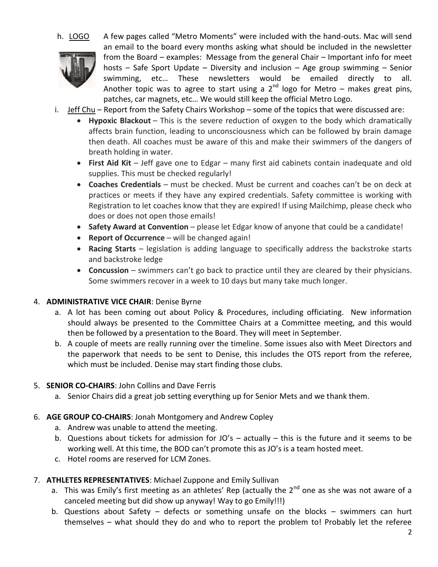

h. LOGO A few pages called "Metro Moments" were included with the hand-outs. Mac will send an email to the board every months asking what should be included in the newsletter from the Board – examples: Message from the general Chair – Important info for meet hosts – Safe Sport Update – Diversity and inclusion – Age group swimming – Senior swimming, etc… These newsletters would be emailed directly to all. Another topic was to agree to start using a  $2<sup>nd</sup>$  logo for Metro – makes great pins, patches, car magnets, etc… We would still keep the official Metro Logo.

- i. Jeff Chu Report from the Safety Chairs Workshop some of the topics that were discussed are:
	- **Hypoxic Blackout** This is the severe reduction of oxygen to the body which dramatically affects brain function, leading to unconsciousness which can be followed by brain damage then death. All coaches must be aware of this and make their swimmers of the dangers of breath holding in water.
	- **First Aid Kit**  Jeff gave one to Edgar many first aid cabinets contain inadequate and old supplies. This must be checked regularly!
	- **Coaches Credentials**  must be checked. Must be current and coaches can't be on deck at practices or meets if they have any expired credentials. Safety committee is working with Registration to let coaches know that they are expired! If using Mailchimp, please check who does or does not open those emails!
	- **Safety Award at Convention** please let Edgar know of anyone that could be a candidate!
	- **Report of Occurrence**  will be changed again!
	- **Racing Starts**  legislation is adding language to specifically address the backstroke starts and backstroke ledge
	- **Concussion**  swimmers can't go back to practice until they are cleared by their physicians. Some swimmers recover in a week to 10 days but many take much longer.

### 4. **ADMINISTRATIVE VICE CHAIR**: Denise Byrne

- a. A lot has been coming out about Policy & Procedures, including officiating. New information should always be presented to the Committee Chairs at a Committee meeting, and this would then be followed by a presentation to the Board. They will meet in September.
- b. A couple of meets are really running over the timeline. Some issues also with Meet Directors and the paperwork that needs to be sent to Denise, this includes the OTS report from the referee, which must be included. Denise may start finding those clubs.

### 5. **SENIOR CO-CHAIRS**: John Collins and Dave Ferris

a. Senior Chairs did a great job setting everything up for Senior Mets and we thank them.

# 6. **AGE GROUP CO-CHAIRS**: Jonah Montgomery and Andrew Copley

- a. Andrew was unable to attend the meeting.
- b. Questions about tickets for admission for JO's actually this is the future and it seems to be working well. At this time, the BOD can't promote this as JO's is a team hosted meet.
- c. Hotel rooms are reserved for LCM Zones.

# 7. **ATHLETES REPRESENTATIVES**: Michael Zuppone and Emily Sullivan

- a. This was Emily's first meeting as an athletes' Rep (actually the  $2^{nd}$  one as she was not aware of a canceled meeting but did show up anyway! Way to go Emily!!!)
- b. Questions about Safety defects or something unsafe on the blocks swimmers can hurt themselves – what should they do and who to report the problem to! Probably let the referee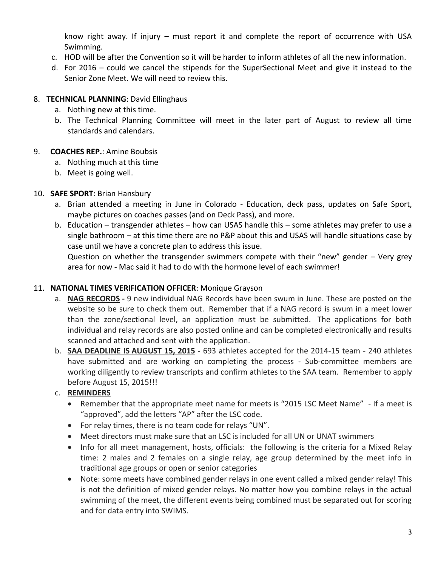know right away. If injury – must report it and complete the report of occurrence with USA Swimming.

- c. HOD will be after the Convention so it will be harder to inform athletes of all the new information.
- d. For 2016 could we cancel the stipends for the SuperSectional Meet and give it instead to the Senior Zone Meet. We will need to review this.

# 8. **TECHNICAL PLANNING**: David Ellinghaus

- a. Nothing new at this time.
- b. The Technical Planning Committee will meet in the later part of August to review all time standards and calendars.

# 9. **COACHES REP.**: Amine Boubsis

- a. Nothing much at this time
- b. Meet is going well.

# 10. **SAFE SPORT**: Brian Hansbury

- a. Brian attended a meeting in June in Colorado Education, deck pass, updates on Safe Sport, maybe pictures on coaches passes (and on Deck Pass), and more.
- b. Education transgender athletes how can USAS handle this some athletes may prefer to use a single bathroom – at this time there are no P&P about this and USAS will handle situations case by case until we have a concrete plan to address this issue.

Question on whether the transgender swimmers compete with their "new" gender – Very grey area for now - Mac said it had to do with the hormone level of each swimmer!

# 11. **NATIONAL TIMES VERIFICATION OFFICER**: Monique Grayson

- a. **NAG RECORDS -** 9 new individual NAG Records have been swum in June. These are posted on the website so be sure to check them out. Remember that if a NAG record is swum in a meet lower than the zone/sectional level, an application must be submitted. The applications for both individual and relay records are also posted online and can be completed electronically and results scanned and attached and sent with the application.
- b. **SAA DEADLINE IS AUGUST 15, 2015 -** 693 athletes accepted for the 2014-15 team 240 athletes have submitted and are working on completing the process - Sub-committee members are working diligently to review transcripts and confirm athletes to the SAA team. Remember to apply before August 15, 2015!!!

# c. **REMINDERS**

- Remember that the appropriate meet name for meets is "2015 LSC Meet Name" If a meet is "approved", add the letters "AP" after the LSC code.
- For relay times, there is no team code for relays "UN".
- Meet directors must make sure that an LSC is included for all UN or UNAT swimmers
- Info for all meet management, hosts, officials: the following is the criteria for a Mixed Relay time: 2 males and 2 females on a single relay, age group determined by the meet info in traditional age groups or open or senior categories
- Note: some meets have combined gender relays in one event called a mixed gender relay! This is not the definition of mixed gender relays. No matter how you combine relays in the actual swimming of the meet, the different events being combined must be separated out for scoring and for data entry into SWIMS.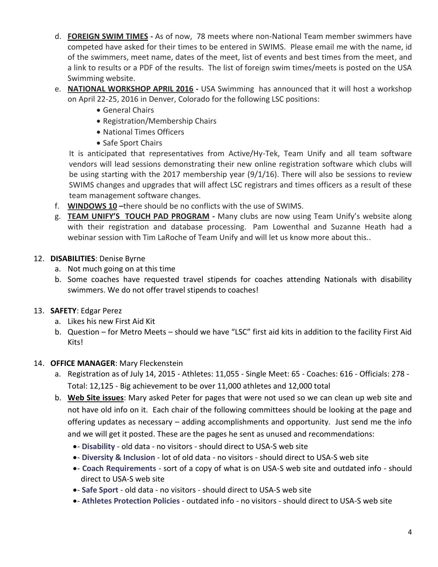- d. **FOREIGN SWIM TIMES -** As of now, 78 meets where non-National Team member swimmers have competed have asked for their times to be entered in SWIMS. Please email me with the name, id of the swimmers, meet name, dates of the meet, list of events and best times from the meet, and a link to results or a PDF of the results. The list of foreign swim times/meets is posted on the USA Swimming website.
- e. **NATIONAL WORKSHOP APRIL 2016 -** USA Swimming has announced that it will host a workshop on April 22-25, 2016 in Denver, Colorado for the following LSC positions:
	- General Chairs
	- Registration/Membership Chairs
	- National Times Officers
	- Safe Sport Chairs

It is anticipated that representatives from Active/Hy-Tek, Team Unify and all team software vendors will lead sessions demonstrating their new online registration software which clubs will be using starting with the 2017 membership year (9/1/16). There will also be sessions to review SWIMS changes and upgrades that will affect LSC registrars and times officers as a result of these team management software changes.

- f. **WINDOWS 10 –**there should be no conflicts with the use of SWIMS.
- g. **TEAM UNIFY'S TOUCH PAD PROGRAM -** Many clubs are now using Team Unify's website along with their registration and database processing. Pam Lowenthal and Suzanne Heath had a webinar session with Tim LaRoche of Team Unify and will let us know more about this..

# 12. **DISABILITIES**: Denise Byrne

- a. Not much going on at this time
- b. Some coaches have requested travel stipends for coaches attending Nationals with disability swimmers. We do not offer travel stipends to coaches!
- 13. **SAFETY**: Edgar Perez
	- a. Likes his new First Aid Kit
	- b. Question for Metro Meets should we have "LSC" first aid kits in addition to the facility First Aid Kits!
- 14. **OFFICE MANAGER**: Mary Fleckenstein
	- a. Registration as of July 14, 2015 Athletes: 11,055 Single Meet: 65 Coaches: 616 Officials: 278 Total: 12,125 - Big achievement to be over 11,000 athletes and 12,000 total
	- b. **Web Site issues**: Mary asked Peter for pages that were not used so we can clean up web site and not have old info on it. Each chair of the following committees should be looking at the page and offering updates as necessary – adding accomplishments and opportunity. Just send me the info and we will get it posted. These are the pages he sent as unused and recommendations:
		- **Disability** old data no visitors should direct to USA-S web site
		- **Diversity & Inclusion** lot of old data no visitors should direct to USA-S web site
		- **Coach Requirements** sort of a copy of what is on USA-S web site and outdated info should direct to USA-S web site
		- **Safe Sport** old data no visitors should direct to USA-S web site
		- **Athletes Protection Policies** outdated info no visitors should direct to USA-S web site